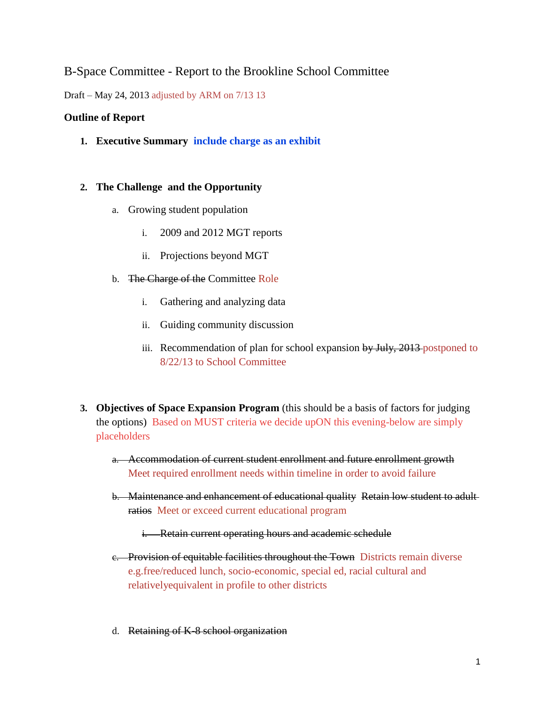# B-Space Committee - Report to the Brookline School Committee

Draft – May 24, 2013 adjusted by ARM on 7/13 13

#### **Outline of Report**

**1. Executive Summary include charge as an exhibit**

## **2. The Challenge and the Opportunity**

- a. Growing student population
	- i. 2009 and 2012 MGT reports
	- ii. Projections beyond MGT
- b. The Charge of the Committee Role
	- i. Gathering and analyzing data
	- ii. Guiding community discussion
	- iii. Recommendation of plan for school expansion by July, 2013 postponed to 8/22/13 to School Committee
- **3. Objectives of Space Expansion Program** (this should be a basis of factors for judging the options) Based on MUST criteria we decide upON this evening-below are simply placeholders
	- a. Accommodation of current student enrollment and future enrollment growth Meet required enrollment needs within timeline in order to avoid failure
	- b. Maintenance and enhancement of educational quality Retain low student to adult ratios Meet or exceed current educational program
		- i. Retain current operating hours and academic schedule
	- e. Provision of equitable facilities throughout the Town Districts remain diverse e.g.free/reduced lunch, socio-economic, special ed, racial cultural and relativelyequivalent in profile to other districts
	- d. Retaining of K-8 school organization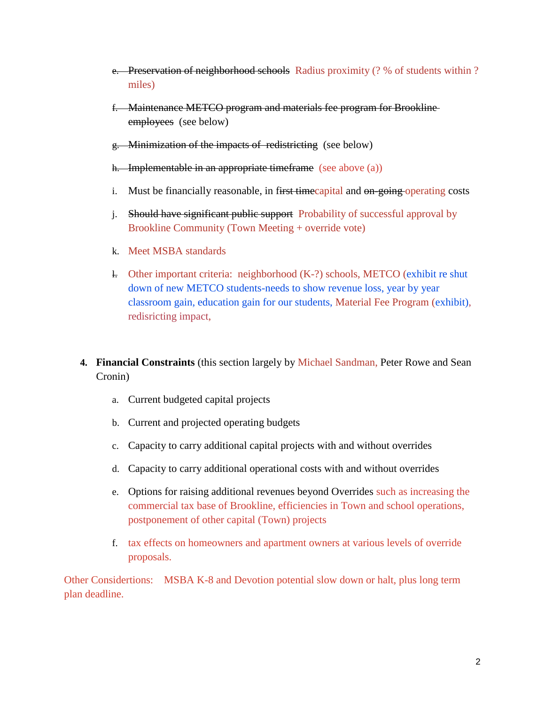- e. Preservation of neighborhood schools Radius proximity (? % of students within ? miles)
- f. Maintenance METCO program and materials fee program for Brookline employees (see below)
- g. Minimization of the impacts of redistricting (see below)
- h. Implementable in an appropriate timeframe (see above (a))
- i. Must be financially reasonable, in first time capital and on-going operating costs
- j. Should have significant public support Probability of successful approval by Brookline Community (Town Meeting + override vote)
- k. Meet MSBA standards
- l. Other important criteria: neighborhood (K-?) schools, METCO (exhibit re shut down of new METCO students-needs to show revenue loss, year by year classroom gain, education gain for our students, Material Fee Program (exhibit), redisricting impact,
- **4. Financial Constraints** (this section largely by Michael Sandman, Peter Rowe and Sean Cronin)
	- a. Current budgeted capital projects
	- b. Current and projected operating budgets
	- c. Capacity to carry additional capital projects with and without overrides
	- d. Capacity to carry additional operational costs with and without overrides
	- e. Options for raising additional revenues beyond Overrides such as increasing the commercial tax base of Brookline, efficiencies in Town and school operations, postponement of other capital (Town) projects
	- f. tax effects on homeowners and apartment owners at various levels of override proposals.

Other Considertions: MSBA K-8 and Devotion potential slow down or halt, plus long term plan deadline.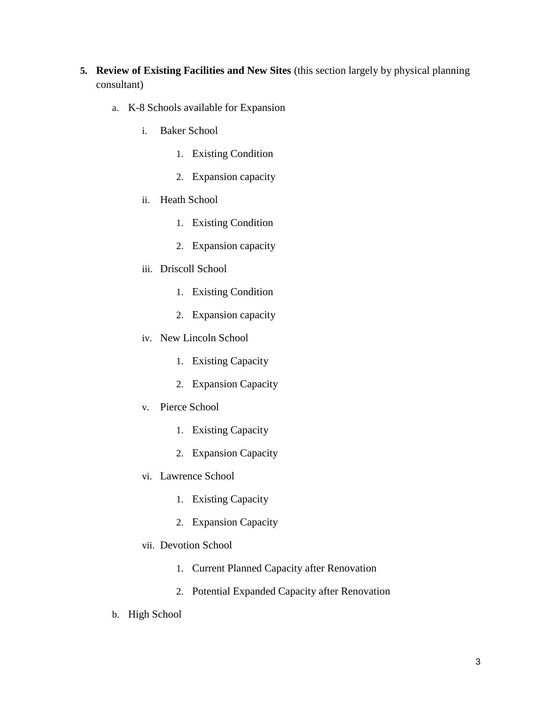- **5. Review of Existing Facilities and New Sites** (this section largely by physical planning consultant)
	- a. K-8 Schools available for Expansion
		- i. Baker School
			- 1. Existing Condition
			- 2. Expansion capacity
		- ii. Heath School
			- 1. Existing Condition
			- 2. Expansion capacity
		- iii. Driscoll School
			- 1. Existing Condition
			- 2. Expansion capacity
		- iv. New Lincoln School
			- 1. Existing Capacity
			- 2. Expansion Capacity
		- v. Pierce School
			- 1. Existing Capacity
			- 2. Expansion Capacity
		- vi. Lawrence School
			- 1. Existing Capacity
			- 2. Expansion Capacity
		- vii. Devotion School
			- 1. Current Planned Capacity after Renovation
			- 2. Potential Expanded Capacity after Renovation
	- b. High School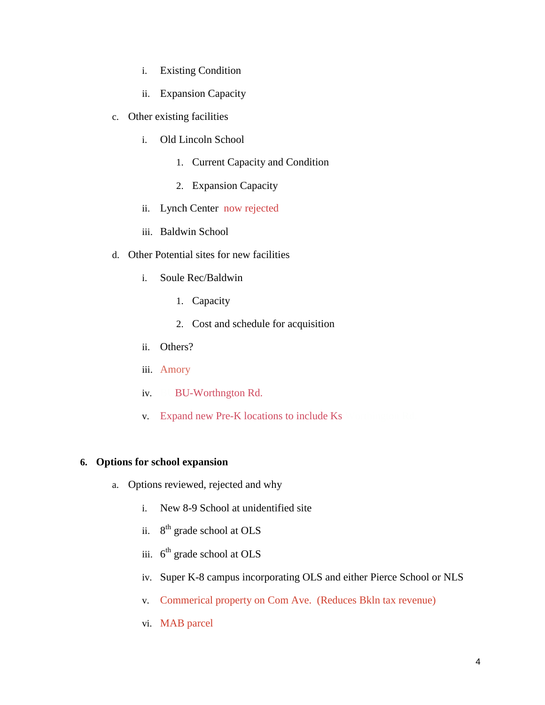- i. Existing Condition
- ii. Expansion Capacity
- c. Other existing facilities
	- i. Old Lincoln School
		- 1. Current Capacity and Condition
		- 2. Expansion Capacity
	- ii. Lynch Center now rejected
	- iii. Baldwin School
- d. Other Potential sites for new facilities
	- i. Soule Rec/Baldwin
		- 1. Capacity
		- 2. Cost and schedule for acquisition
	- ii. Others?
	- iii. Amory
	- iv. BU-Worthngton Rd.
	- v. Expand new Pre-K locations to include Ks

#### **6. Options for school expansion**

- a. Options reviewed, rejected and why
	- i. New 8-9 School at unidentified site
	- ii. 8<sup>th</sup> grade school at OLS
	- iii.  $6<sup>th</sup>$  grade school at OLS
	- iv. Super K-8 campus incorporating OLS and either Pierce School or NLS
	- v. Commerical property on Com Ave. (Reduces Bkln tax revenue)
	- vi. MAB parcel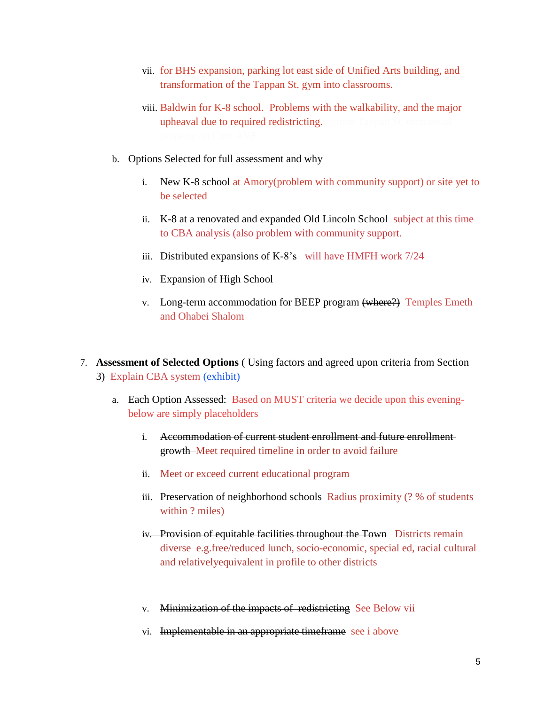- vii. for BHS expansion, parking lot east side of Unified Arts building, and transformation of the Tappan St. gym into classrooms.
- viii. Baldwin for K-8 school. Problems with the walkability, and the major upheaval due to required redistricting.tgymhe Ta
- b. Options Selected for full assessment and why
	- i. New K-8 school at Amory(problem with community support) or site yet to be selected
	- ii. K-8 at a renovated and expanded Old Lincoln School subject at this time to CBA analysis (also problem with community support.
	- iii. Distributed expansions of K-8's will have HMFH work 7/24
	- iv. Expansion of High School
	- v. Long-term accommodation for BEEP program (where?) Temples Emeth and Ohabei Shalom
- 7. **Assessment of Selected Options** ( Using factors and agreed upon criteria from Section 3) Explain CBA system (exhibit)
	- a. Each Option Assessed: Based on MUST criteria we decide upon this eveningbelow are simply placeholders
		- i. Accommodation of current student enrollment and future enrollmentgrowth Meet required timeline in order to avoid failure
		- ii. Meet or exceed current educational program
		- iii. Preservation of neighborhood schools Radius proximity (? % of students within ? miles)
		- iv. Provision of equitable facilities throughout the Town Districts remain diverse e.g.free/reduced lunch, socio-economic, special ed, racial cultural and relativelyequivalent in profile to other districts
		- v. Minimization of the impacts of redistricting See Below vii
		- vi. Implementable in an appropriate timeframe see i above